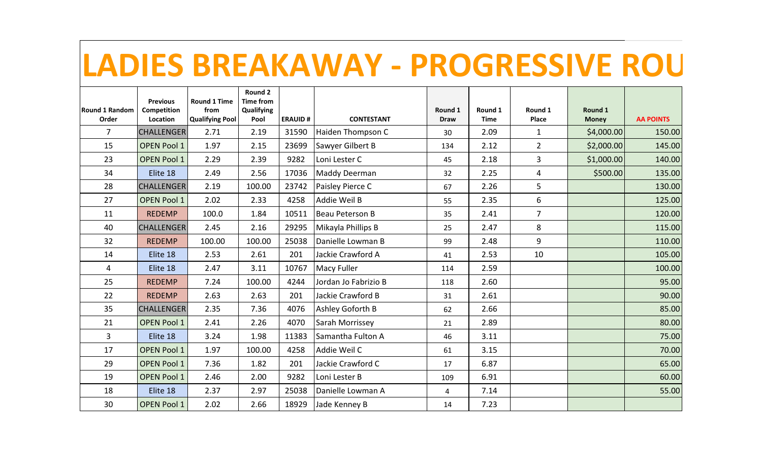## **LADIES BREAKAWAY - PROGRESSIVE ROU**

|                                | <b>Previous</b>         | <b>Round 1 Time</b>            | Round 2<br><b>Time from</b> |                |                        |                        |                        |                  |                         |                  |
|--------------------------------|-------------------------|--------------------------------|-----------------------------|----------------|------------------------|------------------------|------------------------|------------------|-------------------------|------------------|
| <b>Round 1 Random</b><br>Order | Competition<br>Location | from<br><b>Qualifying Pool</b> | Qualifying<br>Pool          | <b>ERAUID#</b> | <b>CONTESTANT</b>      | Round 1<br><b>Draw</b> | Round 1<br><b>Time</b> | Round 1<br>Place | Round 1<br><b>Money</b> | <b>AA POINTS</b> |
| $\overline{7}$                 | <b>CHALLENGER</b>       | 2.71                           | 2.19                        | 31590          | Haiden Thompson C      | 30                     | 2.09                   | $\mathbf{1}$     | \$4,000.00              | 150.00           |
| 15                             | <b>OPEN Pool 1</b>      | 1.97                           | 2.15                        | 23699          | Sawyer Gilbert B       | 134                    | 2.12                   | $\overline{2}$   | \$2,000.00              | 145.00           |
| 23                             | <b>OPEN Pool 1</b>      | 2.29                           | 2.39                        | 9282           | Loni Lester C          | 45                     | 2.18                   | 3                | \$1,000.00              | 140.00           |
| 34                             | Elite 18                | 2.49                           | 2.56                        | 17036          | Maddy Deerman          | 32                     | 2.25                   | $\overline{4}$   | \$500.00                | 135.00           |
| 28                             | <b>CHALLENGER</b>       | 2.19                           | 100.00                      | 23742          | Paisley Pierce C       | 67                     | 2.26                   | 5                |                         | 130.00           |
| 27                             | <b>OPEN Pool 1</b>      | 2.02                           | 2.33                        | 4258           | Addie Weil B           | 55                     | 2.35                   | 6                |                         | 125.00           |
| 11                             | <b>REDEMP</b>           | 100.0                          | 1.84                        | 10511          | <b>Beau Peterson B</b> | 35                     | 2.41                   | $\overline{7}$   |                         | 120.00           |
| 40                             | <b>CHALLENGER</b>       | 2.45                           | 2.16                        | 29295          | Mikayla Phillips B     | 25                     | 2.47                   | 8                |                         | 115.00           |
| 32                             | <b>REDEMP</b>           | 100.00                         | 100.00                      | 25038          | Danielle Lowman B      | 99                     | 2.48                   | 9                |                         | 110.00           |
| 14                             | Elite 18                | 2.53                           | 2.61                        | 201            | Jackie Crawford A      | 41                     | 2.53                   | 10               |                         | 105.00           |
| 4                              | Elite 18                | 2.47                           | 3.11                        | 10767          | Macy Fuller            | 114                    | 2.59                   |                  |                         | 100.00           |
| 25                             | <b>REDEMP</b>           | 7.24                           | 100.00                      | 4244           | Jordan Jo Fabrizio B   | 118                    | 2.60                   |                  |                         | 95.00            |
| 22                             | <b>REDEMP</b>           | 2.63                           | 2.63                        | 201            | Jackie Crawford B      | 31                     | 2.61                   |                  |                         | 90.00            |
| 35                             | <b>CHALLENGER</b>       | 2.35                           | 7.36                        | 4076           | Ashley Goforth B       | 62                     | 2.66                   |                  |                         | 85.00            |
| 21                             | <b>OPEN Pool 1</b>      | 2.41                           | 2.26                        | 4070           | Sarah Morrissey        | 21                     | 2.89                   |                  |                         | 80.00            |
| $\overline{3}$                 | Elite 18                | 3.24                           | 1.98                        | 11383          | Samantha Fulton A      | 46                     | 3.11                   |                  |                         | 75.00            |
| 17                             | <b>OPEN Pool 1</b>      | 1.97                           | 100.00                      | 4258           | Addie Weil C           | 61                     | 3.15                   |                  |                         | 70.00            |
| 29                             | <b>OPEN Pool 1</b>      | 7.36                           | 1.82                        | 201            | Jackie Crawford C      | 17                     | 6.87                   |                  |                         | 65.00            |
| 19                             | <b>OPEN Pool 1</b>      | 2.46                           | 2.00                        | 9282           | Loni Lester B          | 109                    | 6.91                   |                  |                         | 60.00            |
| 18                             | Elite 18                | 2.37                           | 2.97                        | 25038          | Danielle Lowman A      | $\pmb{4}$              | 7.14                   |                  |                         | 55.00            |
| 30                             | <b>OPEN Pool 1</b>      | 2.02                           | 2.66                        | 18929          | Jade Kenney B          | 14                     | 7.23                   |                  |                         |                  |